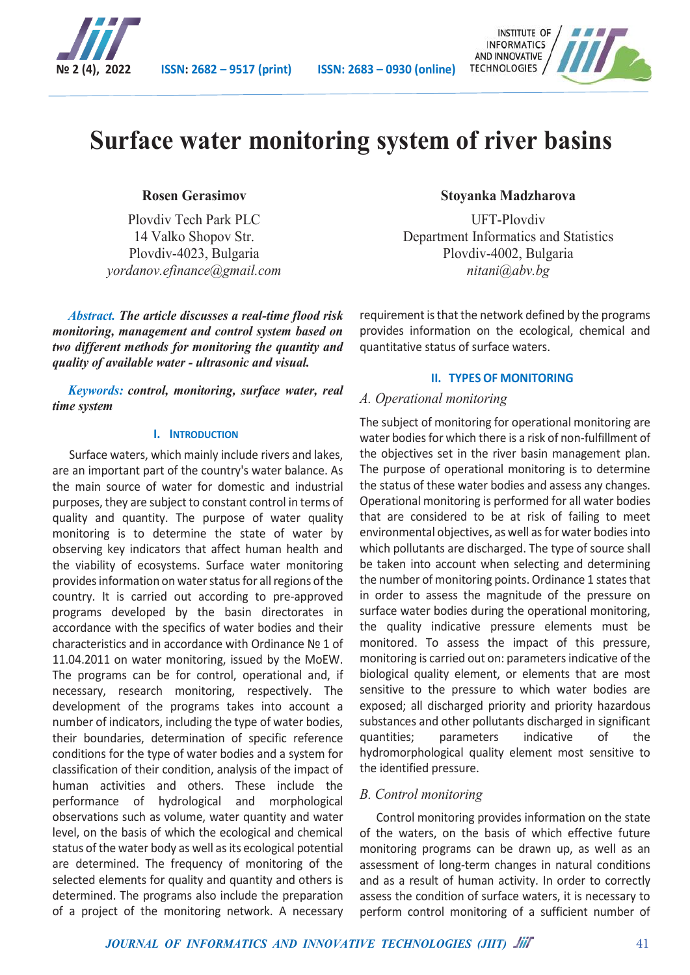



# **Surface water monitoring system of river basins**

**Rosen Gerasimov**

Plovdiv Tech Park PLC 14 Valko Shopov Str. Plovdiv-4023, Bulgaria *yordanov.efinance@gmail.com*

*Abstract. The article discusses a real-time flood risk monitoring, management and control system based on two different methods for monitoring the quantity and quality of available water - ultrasonic and visual.*

*Keywords: control, monitoring, surface water, real time system*

#### **I. INTRODUCTION**

Surface waters, which mainly include rivers and lakes, are an important part of the country's water balance. As the main source of water for domestic and industrial purposes, they are subject to constant control in terms of quality and quantity. The purpose of water quality monitoring is to determine the state of water by observing key indicators that affect human health and the viability of ecosystems. Surface water monitoring provides information on water status for all regions of the country. It is carried out according to pre-approved programs developed by the basin directorates in accordance with the specifics of water bodies and their characteristics and in accordance with Ordinance № 1 of 11.04.2011 on water monitoring, issued by the MoEW. The programs can be for control, operational and, if necessary, research monitoring, respectively. The development of the programs takes into account a number of indicators, including the type of water bodies, their boundaries, determination of specific reference conditions for the type of water bodies and a system for classification of their condition, analysis of the impact of human activities and others. These include the performance of hydrological and morphological observations such as volume, water quantity and water level, on the basis of which the ecological and chemical status of the water body as well as its ecological potential are determined. The frequency of monitoring of the selected elements for quality and quantity and others is determined. The programs also include the preparation of a project of the monitoring network. A necessary

## **Stoyanka Madzharova**

UFT-Plovdiv Department Informatics and Statistics Plovdiv-4002, Bulgaria *nitani@abv.bg*

requirement is that the network defined by the programs provides information on the ecological, chemical and quantitative status of surface waters.

### **II. TYPES OF MONITORING**

### *A. Operational monitoring*

The subject of monitoring for operational monitoring are water bodies for which there is a risk of non-fulfillment of the objectives set in the river basin management plan. The purpose of operational monitoring is to determine the status of these water bodies and assess any changes. Operational monitoring is performed for all water bodies that are considered to be at risk of failing to meet environmental objectives, as well as for water bodies into which pollutants are discharged. The type of source shall be taken into account when selecting and determining the number of monitoring points. Ordinance 1 states that in order to assess the magnitude of the pressure on surface water bodies during the operational monitoring, the quality indicative pressure elements must be monitored. To assess the impact of this pressure, monitoring is carried out on: parameters indicative of the biological quality element, or elements that are most sensitive to the pressure to which water bodies are exposed; all discharged priority and priority hazardous substances and other pollutants discharged in significant quantities; parameters indicative of the hydromorphological quality element most sensitive to the identified pressure.

### *B. Control monitoring*

Control monitoring provides information on the state of the waters, on the basis of which effective future monitoring programs can be drawn up, as well as an assessment of long-term changes in natural conditions and as a result of human activity. In order to correctly assess the condition of surface waters, it is necessary to perform control monitoring of a sufficient number of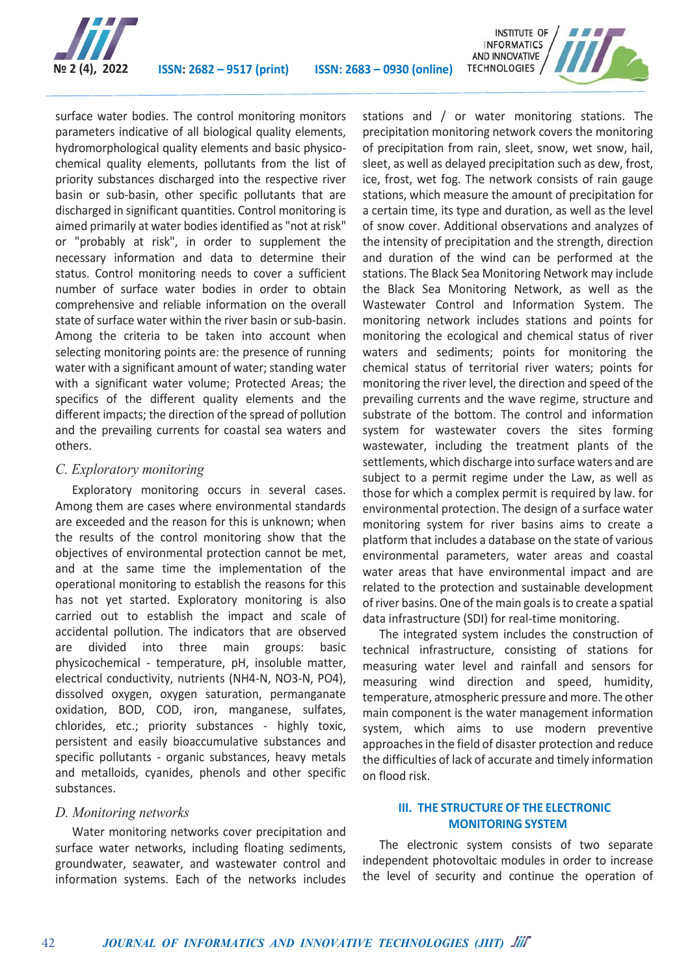



surface water bodies. The control monitoring monitors parameters indicative of all biological quality elements, hydromorphological quality elements and basic physicochemical quality elements, pollutants from the list of priority substances discharged into the respective river basin or sub-basin, other specific pollutants that are discharged in significant quantities. Control monitoring is aimed primarily at water bodies identified as "not at risk" or "probably at risk", in order to supplement the necessary information and data to determine their status. Control monitoring needs to cover a sufficient number of surface water bodies in order to obtain comprehensive and reliable information on the overall state of surface water within the river basin or sub-basin. Among the criteria to be taken into account when selecting monitoring points are: the presence of running water with a significant amount of water; standing water with a significant water volume; Protected Areas; the specifics of the different quality elements and the different impacts; the direction of the spread of pollution and the prevailing currents for coastal sea waters and others.

## *C. Exploratory monitoring*

Exploratory monitoring occurs in several cases. Among them are cases where environmental standards are exceeded and the reason for this is unknown; when the results of the control monitoring show that the objectives of environmental protection cannot be met, and at the same time the implementation of the operational monitoring to establish the reasons for this has not yet started. Exploratory monitoring is also carried out to establish the impact and scale of accidental pollution. The indicators that are observed are divided into three main groups: basic physicochemical - temperature, pH, insoluble matter, electrical conductivity, nutrients (NH4-N, NO3-N, PO4), dissolved oxygen, oxygen saturation, permanganate oxidation, BOD, COD, iron, manganese, sulfates, chlorides, etc.; priority substances - highly toxic, persistent and easily bioaccumulative substances and specific pollutants - organic substances, heavy metals and metalloids, cyanides, phenols and other specific substances.

## *D. Monitoring networks*

Water monitoring networks cover precipitation and surface water networks, including floating sediments, groundwater, seawater, and wastewater control and information systems. Each of the networks includes stations and / or water monitoring stations. The precipitation monitoring network covers the monitoring of precipitation from rain, sleet, snow, wet snow, hail, sleet, as well as delayed precipitation such as dew, frost, ice, frost, wet fog. The network consists of rain gauge stations, which measure the amount of precipitation for a certain time, its type and duration, as well as the level of snow cover. Additional observations and analyzes of the intensity of precipitation and the strength, direction and duration of the wind can be performed at the stations. The Black Sea Monitoring Network may include the Black Sea Monitoring Network, as well as the Wastewater Control and Information System. The monitoring network includes stations and points for monitoring the ecological and chemical status of river waters and sediments; points for monitoring the chemical status of territorial river waters; points for monitoring the river level, the direction and speed of the prevailing currents and the wave regime, structure and substrate of the bottom. The control and information system for wastewater covers the sites forming wastewater, including the treatment plants of the settlements, which discharge into surface waters and are subject to a permit regime under the Law, as well as those for which a complex permit is required by law. for environmental protection. The design of a surface water monitoring system for river basins aims to create a platform that includes a database on the state of various environmental parameters, water areas and coastal water areas that have environmental impact and are related to the protection and sustainable development of river basins. One of the main goals is to create a spatial data infrastructure (SDI) for real-time monitoring.

The integrated system includes the construction of technical infrastructure, consisting of stations for measuring water level and rainfall and sensors for measuring wind direction and speed, humidity, temperature, atmospheric pressure and more. The other main component is the water management information system, which aims to use modern preventive approaches in the field of disaster protection and reduce the difficulties of lack of accurate and timely information on flood risk.

## **III. THE STRUCTURE OF THE ELECTRONIC MONITORING SYSTEM**

The electronic system consists of two separate independent photovoltaic modules in order to increase the level of security and continue the operation of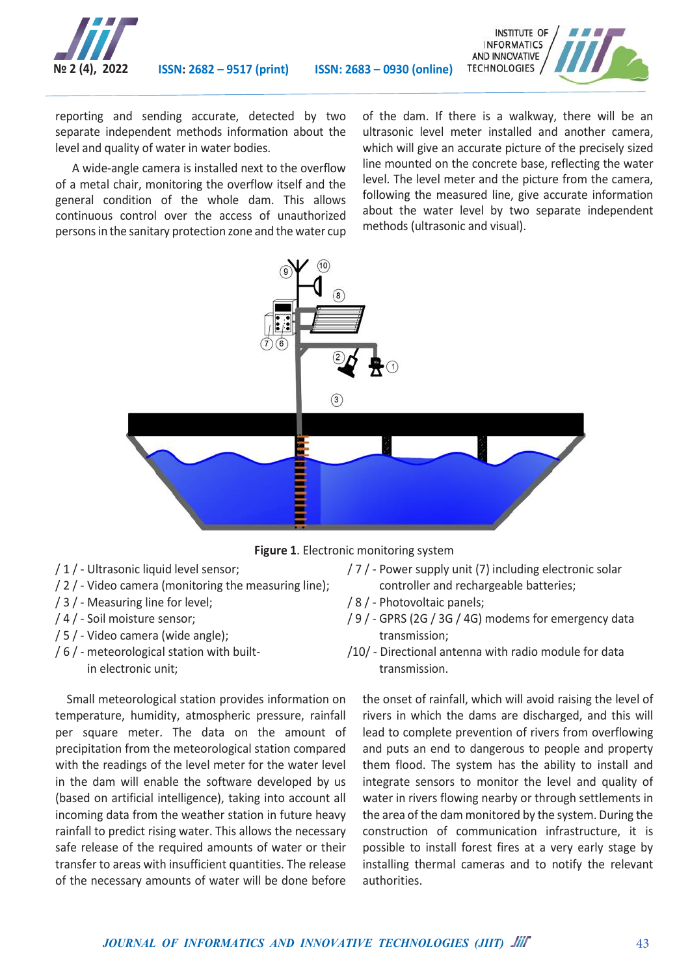



reporting and sending accurate, detected by two separate independent methods information about the level and quality of water in water bodies.

A wide-angle camera is installed next to the overflow of a metal chair, monitoring the overflow itself and the general condition of the whole dam. This allows continuous control over the access of unauthorized persons in the sanitary protection zone and the water cup of the dam. If there is a walkway, there will be an ultrasonic level meter installed and another camera, which will give an accurate picture of the precisely sized line mounted on the concrete base, reflecting the water level. The level meter and the picture from the camera, following the measured line, give accurate information about the water level by two separate independent methods (ultrasonic and visual).





- 
- / 2 / Video camera (monitoring the measuring line); controller and rechargeable batteries;
- / 3 / Measuring line for level; / 8 / Photovoltaic panels;
- 
- / 5 / Video camera (wide angle); transmission;
- 

Small meteorological station provides information on temperature, humidity, atmospheric pressure, rainfall per square meter. The data on the amount of precipitation from the meteorological station compared with the readings of the level meter for the water level in the dam will enable the software developed by us (based on artificial intelligence), taking into account all incoming data from the weather station in future heavy rainfall to predict rising water. This allows the necessary safe release of the required amounts of water or their transfer to areas with insufficient quantities. The release of the necessary amounts of water will be done before

- / 1 / Ultrasonic liquid level sensor; / 7 / Power supply unit (7) including electronic solar
	-
- / 4 / Soil moisture sensor; / 9 / GPRS (2G / 3G / 4G) modems for emergency data
- / 6 / meteorological station with built- /10/ Directional antenna with radio module for data in electronic unit; transmission.

the onset of rainfall, which will avoid raising the level of rivers in which the dams are discharged, and this will lead to complete prevention of rivers from overflowing and puts an end to dangerous to people and property them flood. The system has the ability to install and integrate sensors to monitor the level and quality of water in rivers flowing nearby or through settlements in the area of the dam monitored by the system. During the construction of communication infrastructure, it is possible to install forest fires at a very early stage by installing thermal cameras and to notify the relevant authorities.